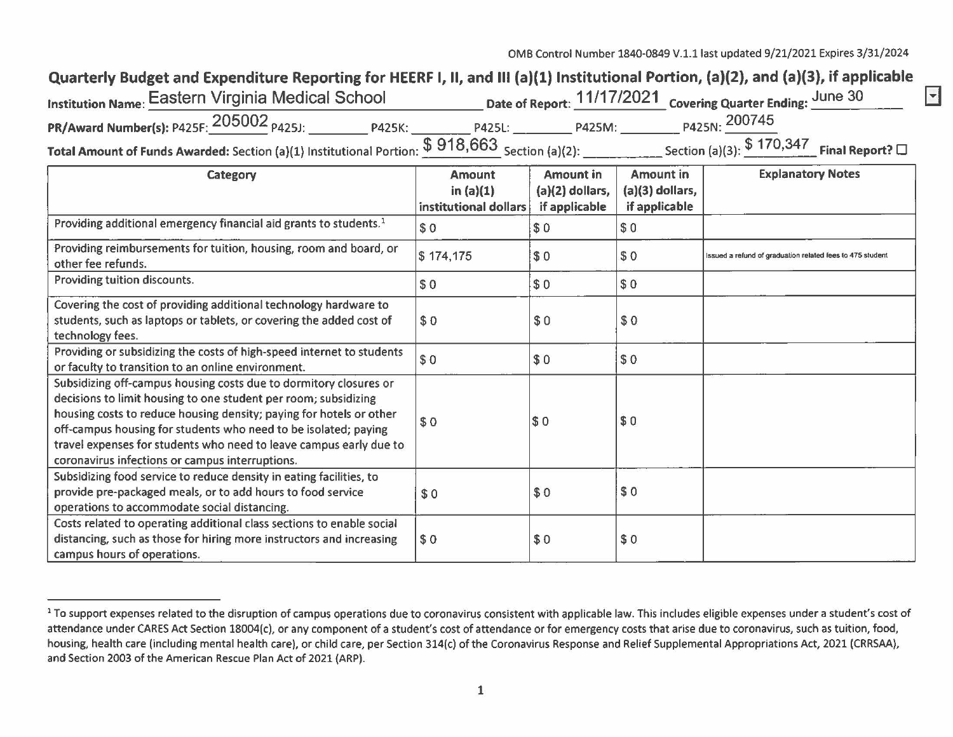| Quarterly Budget and Expenditure Reporting for HEERF I, II, and III (a)(1) Institutional Portion, (a)(2), and (a)(3), if applicable |        |        |                                                             |  |  |  |  |  |
|-------------------------------------------------------------------------------------------------------------------------------------|--------|--------|-------------------------------------------------------------|--|--|--|--|--|
| <b>Institution Name: Eastern Virginia Medical School</b>                                                                            |        |        | Date of Report: 11/17/2021 Covering Quarter Ending: June 30 |  |  |  |  |  |
| PR/Award Number(s): P425F: 205002 <sub>P425J:</sub><br><b>P425K:</b>                                                                | P425L: | P425M: | P425N: 200745                                               |  |  |  |  |  |
| Total Amount of Funds Awarded: Section (a)(1) Institutional Portion: $$918,663$ Section (a)(2):                                     |        |        | Section (a)(3): $$170,347$ Final Report? $\square$          |  |  |  |  |  |

| Category                                                                                                                                                                                                                                                                                                                                                                                                | <b>Amount</b><br>in $(a)(1)$ | <b>Amount in</b><br>$(a)(2)$ dollars, | <b>Amount in</b><br>$(a)(3)$ dollars, | <b>Explanatory Notes</b>                                  |
|---------------------------------------------------------------------------------------------------------------------------------------------------------------------------------------------------------------------------------------------------------------------------------------------------------------------------------------------------------------------------------------------------------|------------------------------|---------------------------------------|---------------------------------------|-----------------------------------------------------------|
|                                                                                                                                                                                                                                                                                                                                                                                                         | institutional dollars        | if applicable                         | if applicable                         |                                                           |
| Providing additional emergency financial aid grants to students. <sup>1</sup>                                                                                                                                                                                                                                                                                                                           | \$0                          | \$0                                   | \$0                                   |                                                           |
| Providing reimbursements for tuition, housing, room and board, or<br>other fee refunds.                                                                                                                                                                                                                                                                                                                 | \$174,175                    | \$0                                   | \$0                                   | Issued a refund of graduation related fees to 475 student |
| Providing tuition discounts.                                                                                                                                                                                                                                                                                                                                                                            | \$0                          | \$0                                   | \$0                                   |                                                           |
| Covering the cost of providing additional technology hardware to<br>students, such as laptops or tablets, or covering the added cost of<br>technology fees.                                                                                                                                                                                                                                             | \$0                          | \$0                                   | \$0                                   |                                                           |
| Providing or subsidizing the costs of high-speed internet to students<br>or faculty to transition to an online environment.                                                                                                                                                                                                                                                                             | \$0                          | \$0                                   | \$0                                   |                                                           |
| Subsidizing off-campus housing costs due to dormitory closures or<br>decisions to limit housing to one student per room; subsidizing<br>housing costs to reduce housing density; paying for hotels or other<br>off-campus housing for students who need to be isolated; paying<br>travel expenses for students who need to leave campus early due to<br>coronavirus infections or campus interruptions. | \$0                          | \$0                                   | $\sqrt{50}$                           |                                                           |
| Subsidizing food service to reduce density in eating facilities, to<br>provide pre-packaged meals, or to add hours to food service<br>operations to accommodate social distancing.                                                                                                                                                                                                                      | \$0                          | \$0                                   | \$0                                   |                                                           |
| Costs related to operating additional class sections to enable social<br>distancing, such as those for hiring more instructors and increasing<br>campus hours of operations.                                                                                                                                                                                                                            | \$0                          | \$0                                   | \$0                                   |                                                           |

<sup>&</sup>lt;sup>1</sup> To support expenses related to the disruption of campus operations due to coronavirus consistent with applicable law. This includes eligible expenses under a student's cost of attendance under CARES Act Section 18004(c), or any component of a student's cost of attendance or for emergency costs that arise due to coronavirus, such as tuition, food, housing, health care (including mental health care), or child care, per Section 314(c) of the Coronavirus Response and Relief Supplemental Appropriations Act, 2021 (CRRSAA), and Section 2003 of the American Rescue Plan Act of 2021 (ARP).